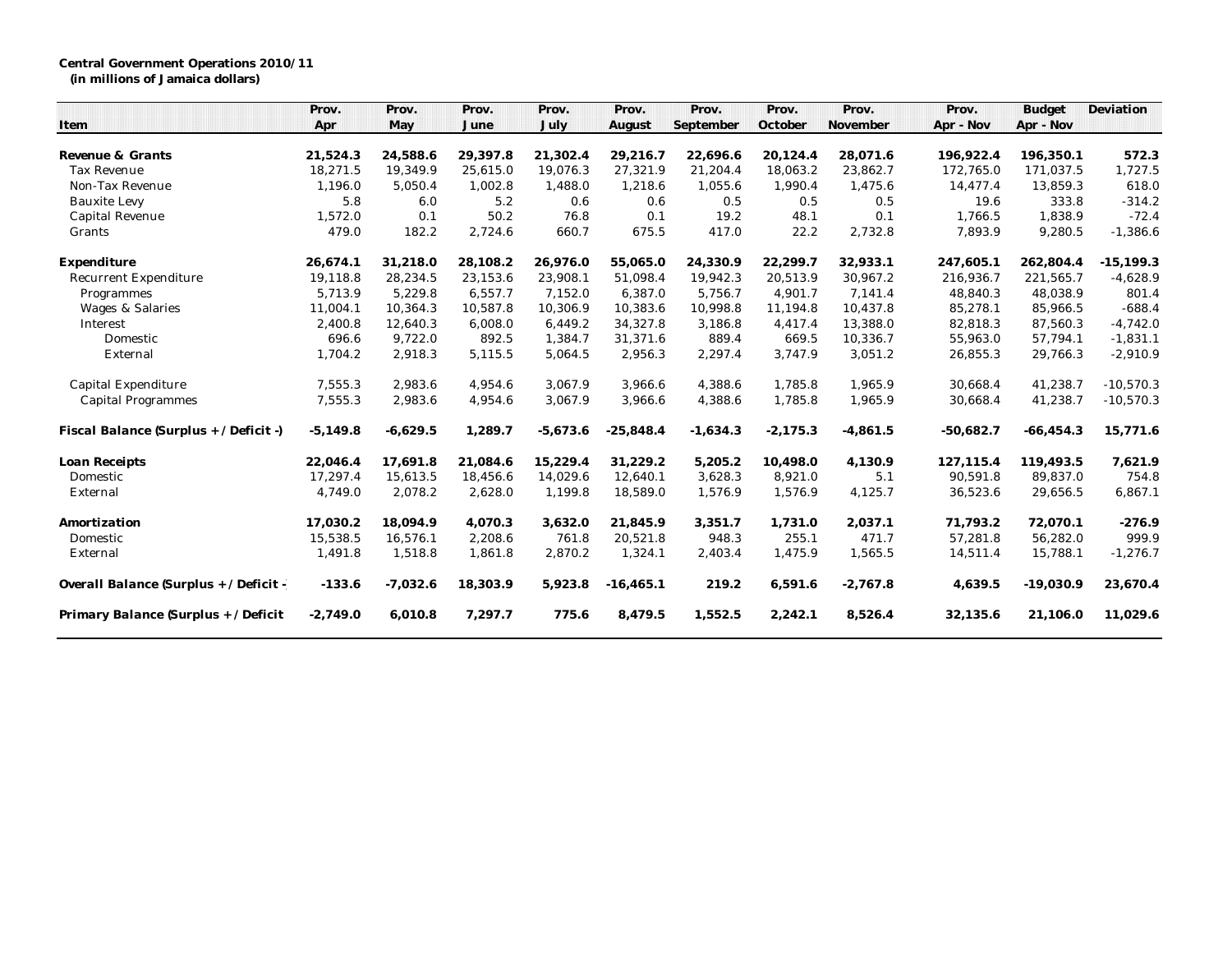## **Central Government Operations 2010/11**

**(in millions of Jamaica dollars)**

|                                         | Prov.      | Prov.      | Prov.    | Prov.      | Prov.       | Prov.      | Prov.      | Prov.      | Prov.       | <b>Budget</b> | Deviation    |
|-----------------------------------------|------------|------------|----------|------------|-------------|------------|------------|------------|-------------|---------------|--------------|
| Item                                    | Apr        | May        | June     | July       | August      | September  | October    | November   | Apr - Nov   | Apr - Nov     |              |
| Revenue & Grants                        | 21,524.3   | 24,588.6   | 29,397.8 | 21,302.4   | 29,216.7    | 22,696.6   | 20,124.4   | 28,071.6   | 196,922.4   | 196,350.1     | 572.3        |
| Tax Revenue                             | 18,271.5   | 19,349.9   | 25,615.0 | 19,076.3   | 27,321.9    | 21,204.4   | 18,063.2   | 23,862.7   | 172,765.0   | 171,037.5     | 1,727.5      |
| Non-Tax Revenue                         | 1,196.0    | 5,050.4    | 1,002.8  | 1,488.0    | 1,218.6     | 1,055.6    | 1,990.4    | 1,475.6    | 14,477.4    | 13,859.3      | 618.0        |
| <b>Bauxite Levy</b>                     | 5.8        | 6.0        | 5.2      | 0.6        | 0.6         | 0.5        | 0.5        | 0.5        | 19.6        | 333.8         | $-314.2$     |
| Capital Revenue                         | 1,572.0    | 0.1        | 50.2     | 76.8       | 0.1         | 19.2       | 48.1       | 0.1        | 1,766.5     | 1,838.9       | $-72.4$      |
| Grants                                  | 479.0      | 182.2      | 2,724.6  | 660.7      | 675.5       | 417.0      | 22.2       | 2,732.8    | 7,893.9     | 9,280.5       | $-1,386.6$   |
| Expenditure                             | 26,674.1   | 31,218.0   | 28,108.2 | 26.976.0   | 55,065.0    | 24,330.9   | 22,299.7   | 32,933.1   | 247,605.1   | 262,804.4     | $-15, 199.3$ |
| Recurrent Expenditure                   | 19,118.8   | 28,234.5   | 23,153.6 | 23,908.1   | 51,098.4    | 19,942.3   | 20,513.9   | 30,967.2   | 216,936.7   | 221,565.7     | $-4,628.9$   |
| Programmes                              | 5,713.9    | 5,229.8    | 6,557.7  | 7,152.0    | 6,387.0     | 5,756.7    | 4,901.7    | 7,141.4    | 48,840.3    | 48,038.9      | 801.4        |
| Wages & Salaries                        | 11,004.1   | 10,364.3   | 10,587.8 | 10,306.9   | 10,383.6    | 10,998.8   | 11,194.8   | 10,437.8   | 85,278.1    | 85,966.5      | $-688.4$     |
| Interest                                | 2,400.8    | 12,640.3   | 6,008.0  | 6,449.2    | 34,327.8    | 3,186.8    | 4,417.4    | 13,388.0   | 82,818.3    | 87,560.3      | $-4,742.0$   |
| Domestic                                | 696.6      | 9,722.0    | 892.5    | 1,384.7    | 31,371.6    | 889.4      | 669.5      | 10,336.7   | 55,963.0    | 57,794.1      | $-1,831.1$   |
| External                                | 1,704.2    | 2,918.3    | 5,115.5  | 5,064.5    | 2,956.3     | 2,297.4    | 3,747.9    | 3,051.2    | 26,855.3    | 29,766.3      | $-2,910.9$   |
| Capital Expenditure                     | 7,555.3    | 2,983.6    | 4,954.6  | 3,067.9    | 3,966.6     | 4,388.6    | 1,785.8    | 1,965.9    | 30,668.4    | 41,238.7      | $-10,570.3$  |
| <b>Capital Programmes</b>               | 7,555.3    | 2,983.6    | 4,954.6  | 3,067.9    | 3,966.6     | 4,388.6    | 1,785.8    | 1,965.9    | 30,668.4    | 41,238.7      | $-10,570.3$  |
| Fiscal Balance (Surplus + / Deficit -)  | $-5,149.8$ | $-6,629.5$ | 1,289.7  | $-5,673.6$ | $-25,848.4$ | $-1,634.3$ | $-2,175.3$ | $-4,861.5$ | $-50,682.7$ | $-66, 454.3$  | 15,771.6     |
| Loan Receipts                           | 22,046.4   | 17,691.8   | 21,084.6 | 15,229.4   | 31,229.2    | 5,205.2    | 10,498.0   | 4,130.9    | 127, 115.4  | 119,493.5     | 7,621.9      |
| Domestic                                | 17,297.4   | 15.613.5   | 18,456.6 | 14,029.6   | 12,640.1    | 3,628.3    | 8,921.0    | 5.1        | 90,591.8    | 89,837.0      | 754.8        |
| External                                | 4,749.0    | 2,078.2    | 2,628.0  | 1,199.8    | 18,589.0    | 1,576.9    | 1,576.9    | 4,125.7    | 36,523.6    | 29,656.5      | 6,867.1      |
| Amortization                            | 17.030.2   | 18.094.9   | 4.070.3  | 3,632.0    | 21.845.9    | 3,351.7    | 1.731.0    | 2,037.1    | 71,793.2    | 72,070.1      | $-276.9$     |
| Domestic                                | 15,538.5   | 16,576.1   | 2,208.6  | 761.8      | 20,521.8    | 948.3      | 255.1      | 471.7      | 57,281.8    | 56,282.0      | 999.9        |
| External                                | 1,491.8    | 1,518.8    | 1,861.8  | 2,870.2    | 1,324.1     | 2,403.4    | 1,475.9    | 1,565.5    | 14,511.4    | 15,788.1      | $-1,276.7$   |
| Overall Balance (Surplus + / Deficit -) | $-133.6$   | $-7,032.6$ | 18,303.9 | 5,923.8    | $-16,465.1$ | 219.2      | 6,591.6    | $-2,767.8$ | 4,639.5     | $-19,030.9$   | 23,670.4     |
| Primary Balance (Surplus + / Deficit    | $-2,749.0$ | 6,010.8    | 7,297.7  | 775.6      | 8,479.5     | 1,552.5    | 2,242.1    | 8,526.4    | 32,135.6    | 21,106.0      | 11,029.6     |